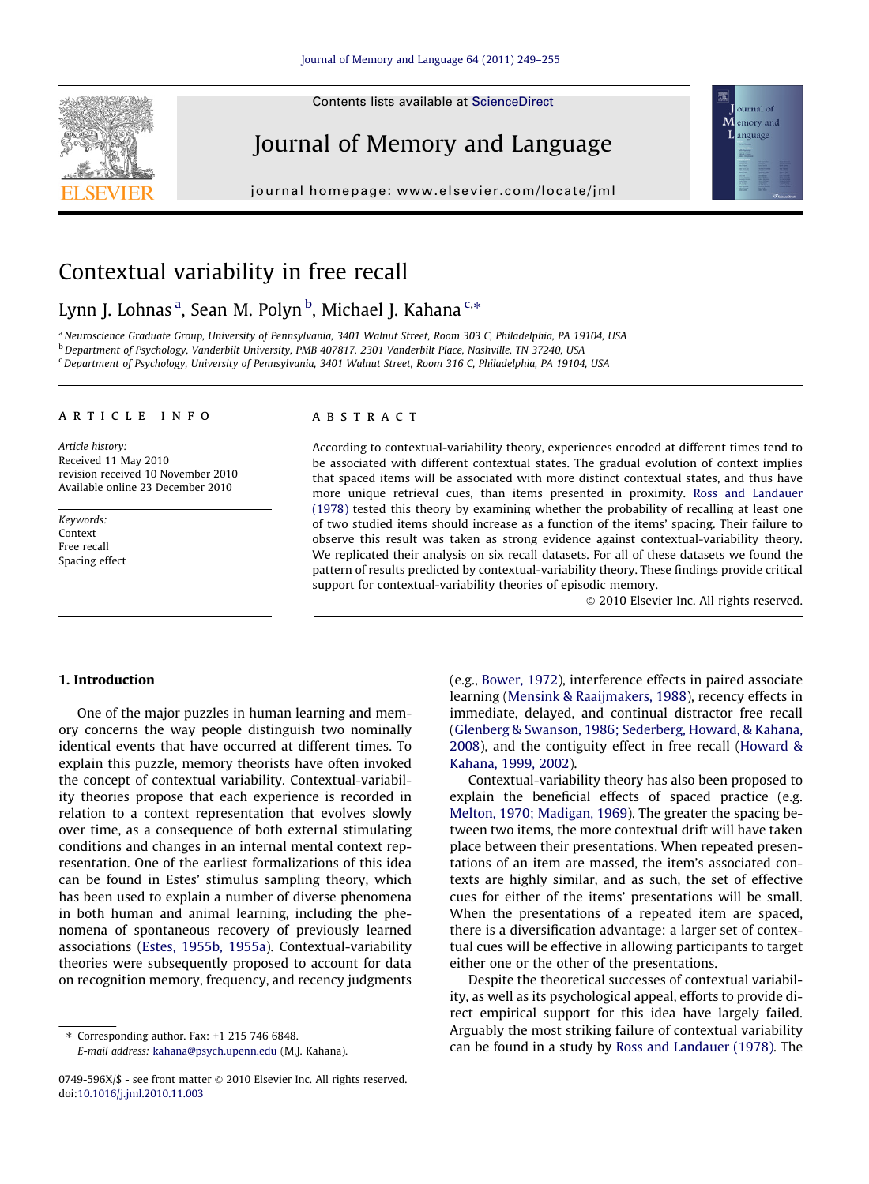Contents lists available at [ScienceDirect](http://www.sciencedirect.com/science/journal/0749596X)





journal homepage: www.el [sevier.com/locate/jml](http://www.elsevier.com/locate/jml)



# Contextual variability in free recall

# Lynn J. Lohnas <sup>a</sup>, Sean M. Polyn <sup>b</sup>, Michael J. Kahana <sup>c,</sup>\*

a Neuroscience Graduate Group, University of Pennsylvania, 3401 Walnut Street, Room 303 C, Philadelphia, PA 19104, USA b Department of Psychology, Vanderbilt University, PMB 407817, 2301 Vanderbilt Place, Nashville, TN 37240, USA <sup>c</sup>Department of Psychology, University of Pennsylvania, 3401 Walnut Street, Room 316 C, Philadelphia, PA 19104, USA

#### ARTICLE INFO

Article history: Received 11 May 2010 revision received 10 November 2010 Available online 23 December 2010

Keywords: Context Free recall Spacing effect

# **ARSTRACT**

According to contextual-variability theory, experiences encoded at different times tend to be associated with different contextual states. The gradual evolution of context implies that spaced items will be associated with more distinct contextual states, and thus have more unique retrieval cues, than items presented in proximity. [Ross and Landauer](#page-6-0) [\(1978\)](#page-6-0) tested this theory by examining whether the probability of recalling at least one of two studied items should increase as a function of the items' spacing. Their failure to observe this result was taken as strong evidence against contextual-variability theory. We replicated their analysis on six recall datasets. For all of these datasets we found the pattern of results predicted by contextual-variability theory. These findings provide critical support for contextual-variability theories of episodic memory.

- 2010 Elsevier Inc. All rights reserved.

#### 1. Introduction

One of the major puzzles in human learning and memory concerns the way people distinguish two nominally identical events that have occurred at different times. To explain this puzzle, memory theorists have often invoked the concept of contextual variability. Contextual-variability theories propose that each experience is recorded in relation to a context representation that evolves slowly over time, as a consequence of both external stimulating conditions and changes in an internal mental context representation. One of the earliest formalizations of this idea can be found in Estes' stimulus sampling theory, which has been used to explain a number of diverse phenomena in both human and animal learning, including the phenomena of spontaneous recovery of previously learned associations [\(Estes, 1955b, 1955a\)](#page-5-0). Contextual-variability theories were subsequently proposed to account for data on recognition memory, frequency, and recency judgments

⇑ Corresponding author. Fax: +1 215 746 6848. E-mail address: [kahana@psych.upenn.edu](mailto:kahana@psych.upenn.edu) (M.J. Kahana). (e.g., [Bower, 1972\)](#page-5-0), interference effects in paired associate learning [\(Mensink & Raaijmakers, 1988](#page-6-0)), recency effects in immediate, delayed, and continual distractor free recall [\(Glenberg & Swanson, 1986; Sederberg, Howard, & Kahana,](#page-5-0) [2008\)](#page-5-0), and the contiguity effect in free recall ([Howard &](#page-5-0) [Kahana, 1999, 2002\)](#page-5-0).

Contextual-variability theory has also been proposed to explain the beneficial effects of spaced practice (e.g. [Melton, 1970; Madigan, 1969](#page-5-0)). The greater the spacing between two items, the more contextual drift will have taken place between their presentations. When repeated presentations of an item are massed, the item's associated contexts are highly similar, and as such, the set of effective cues for either of the items' presentations will be small. When the presentations of a repeated item are spaced, there is a diversification advantage: a larger set of contextual cues will be effective in allowing participants to target either one or the other of the presentations.

Despite the theoretical successes of contextual variability, as well as its psychological appeal, efforts to provide direct empirical support for this idea have largely failed. Arguably the most striking failure of contextual variability can be found in a study by [Ross and Landauer \(1978\).](#page-6-0) The

<sup>0749-596</sup>X/\$ - see front matter © 2010 Elsevier Inc. All rights reserved. doi:[10.1016/j.jml.2010.11.003](http://dx.doi.org/10.1016/j.jml.2010.11.003)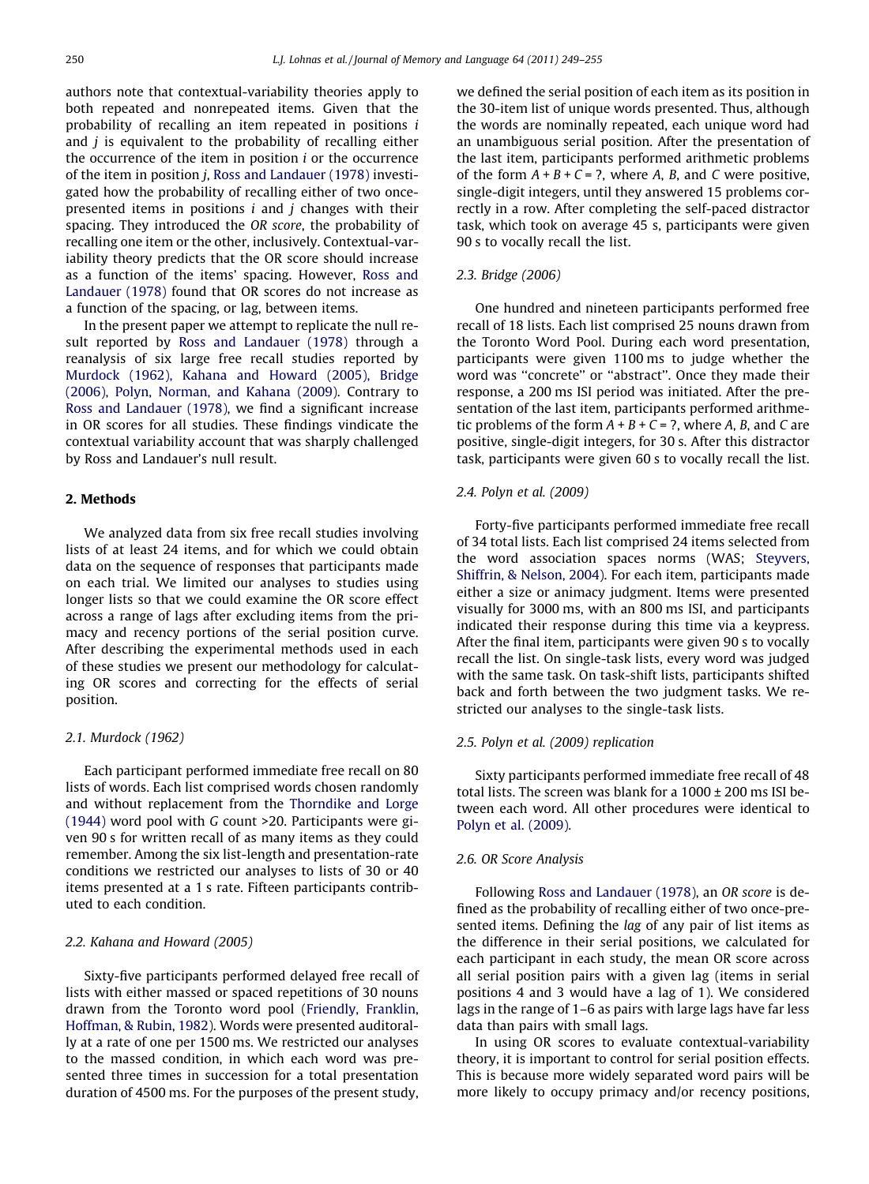authors note that contextual-variability theories apply to both repeated and nonrepeated items. Given that the probability of recalling an item repeated in positions i and  $j$  is equivalent to the probability of recalling either the occurrence of the item in position i or the occurrence of the item in position j, [Ross and Landauer \(1978\)](#page-6-0) investigated how the probability of recalling either of two oncepresented items in positions  $i$  and  $j$  changes with their spacing. They introduced the OR score, the probability of recalling one item or the other, inclusively. Contextual-variability theory predicts that the OR score should increase as a function of the items' spacing. However, [Ross and](#page-6-0) [Landauer \(1978\)](#page-6-0) found that OR scores do not increase as a function of the spacing, or lag, between items.

In the present paper we attempt to replicate the null result reported by [Ross and Landauer \(1978\)](#page-6-0) through a reanalysis of six large free recall studies reported by [Murdock \(1962\), Kahana and Howard \(2005\), Bridge](#page-6-0) [\(2006\), Polyn, Norman, and Kahana \(2009\)](#page-6-0). Contrary to [Ross and Landauer \(1978\)](#page-6-0), we find a significant increase in OR scores for all studies. These findings vindicate the contextual variability account that was sharply challenged by Ross and Landauer's null result.

# 2. Methods

We analyzed data from six free recall studies involving lists of at least 24 items, and for which we could obtain data on the sequence of responses that participants made on each trial. We limited our analyses to studies using longer lists so that we could examine the OR score effect across a range of lags after excluding items from the primacy and recency portions of the serial position curve. After describing the experimental methods used in each of these studies we present our methodology for calculating OR scores and correcting for the effects of serial position.

#### 2.1. Murdock (1962)

Each participant performed immediate free recall on 80 lists of words. Each list comprised words chosen randomly and without replacement from the [Thorndike and Lorge](#page-6-0) [\(1944\)](#page-6-0) word pool with G count >20. Participants were given 90 s for written recall of as many items as they could remember. Among the six list-length and presentation-rate conditions we restricted our analyses to lists of 30 or 40 items presented at a 1 s rate. Fifteen participants contributed to each condition.

#### 2.2. Kahana and Howard (2005)

Sixty-five participants performed delayed free recall of lists with either massed or spaced repetitions of 30 nouns drawn from the Toronto word pool [\(Friendly, Franklin,](#page-5-0) [Hoffman, & Rubin, 1982\)](#page-5-0). Words were presented auditorally at a rate of one per 1500 ms. We restricted our analyses to the massed condition, in which each word was presented three times in succession for a total presentation duration of 4500 ms. For the purposes of the present study,

we defined the serial position of each item as its position in the 30-item list of unique words presented. Thus, although the words are nominally repeated, each unique word had an unambiguous serial position. After the presentation of the last item, participants performed arithmetic problems of the form  $A + B + C = ?$ , where A, B, and C were positive, single-digit integers, until they answered 15 problems correctly in a row. After completing the self-paced distractor task, which took on average 45 s, participants were given 90 s to vocally recall the list.

#### 2.3. Bridge (2006)

One hundred and nineteen participants performed free recall of 18 lists. Each list comprised 25 nouns drawn from the Toronto Word Pool. During each word presentation, participants were given 1100 ms to judge whether the word was ''concrete'' or ''abstract''. Once they made their response, a 200 ms ISI period was initiated. After the presentation of the last item, participants performed arithmetic problems of the form  $A + B + C = ?$ , where A, B, and C are positive, single-digit integers, for 30 s. After this distractor task, participants were given 60 s to vocally recall the list.

#### 2.4. Polyn et al. (2009)

Forty-five participants performed immediate free recall of 34 total lists. Each list comprised 24 items selected from the word association spaces norms (WAS; [Steyvers,](#page-6-0) [Shiffrin, & Nelson, 2004\)](#page-6-0). For each item, participants made either a size or animacy judgment. Items were presented visually for 3000 ms, with an 800 ms ISI, and participants indicated their response during this time via a keypress. After the final item, participants were given 90 s to vocally recall the list. On single-task lists, every word was judged with the same task. On task-shift lists, participants shifted back and forth between the two judgment tasks. We restricted our analyses to the single-task lists.

#### 2.5. Polyn et al. (2009) replication

Sixty participants performed immediate free recall of 48 total lists. The screen was blank for a 1000 ± 200 ms ISI between each word. All other procedures were identical to [Polyn et al. \(2009\)](#page-6-0).

#### 2.6. OR Score Analysis

Following [Ross and Landauer \(1978\)](#page-6-0), an OR score is defined as the probability of recalling either of two once-presented items. Defining the lag of any pair of list items as the difference in their serial positions, we calculated for each participant in each study, the mean OR score across all serial position pairs with a given lag (items in serial positions 4 and 3 would have a lag of 1). We considered lags in the range of 1–6 as pairs with large lags have far less data than pairs with small lags.

In using OR scores to evaluate contextual-variability theory, it is important to control for serial position effects. This is because more widely separated word pairs will be more likely to occupy primacy and/or recency positions,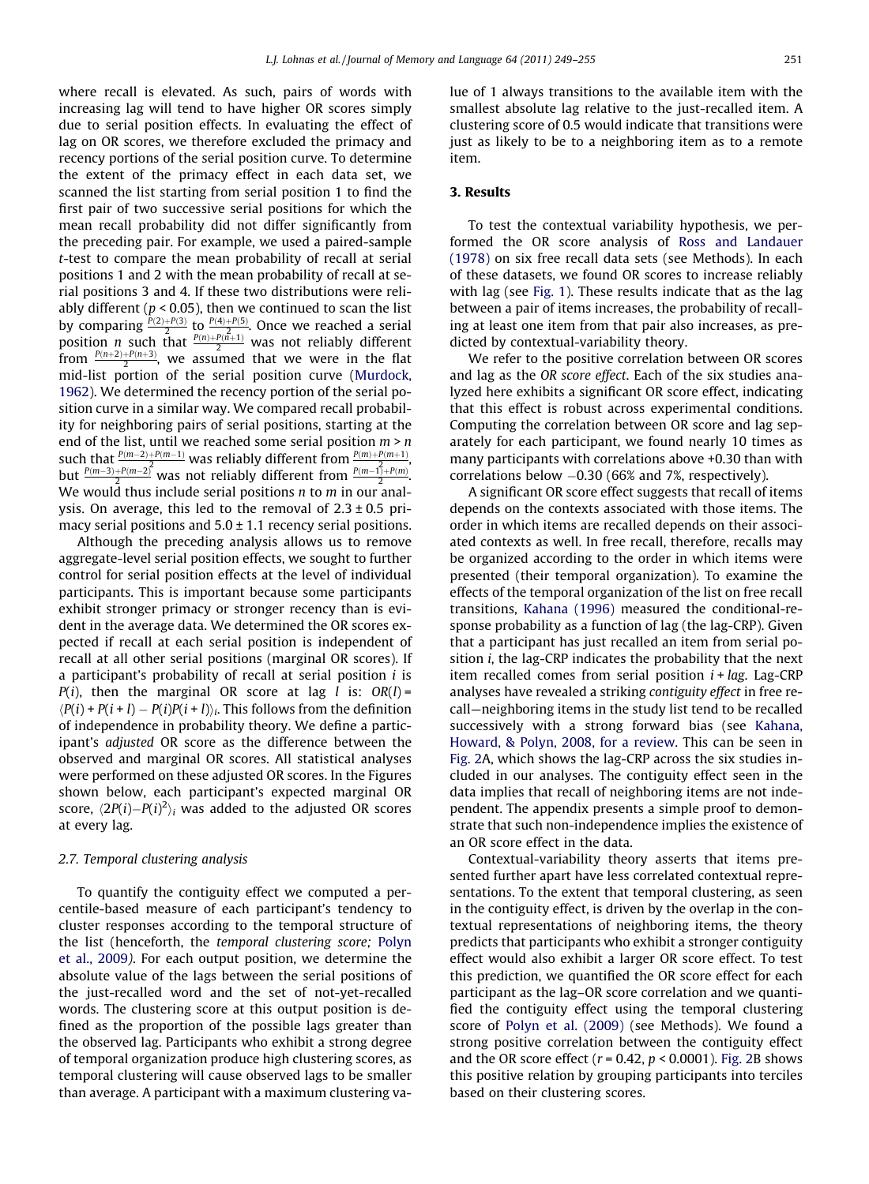where recall is elevated. As such, pairs of words with increasing lag will tend to have higher OR scores simply due to serial position effects. In evaluating the effect of lag on OR scores, we therefore excluded the primacy and recency portions of the serial position curve. To determine the extent of the primacy effect in each data set, we scanned the list starting from serial position 1 to find the first pair of two successive serial positions for which the mean recall probability did not differ significantly from the preceding pair. For example, we used a paired-sample t-test to compare the mean probability of recall at serial positions 1 and 2 with the mean probability of recall at serial positions 3 and 4. If these two distributions were reliably different ( $p < 0.05$ ), then we continued to scan the list by comparing  $\frac{P(2)+P(3)}{2}$  to  $\frac{P(4)+P(5)}{2}$ . Once we reached a serial position *n* such that  $\frac{P(n)+P(n+1)}{2}$  was not reliably different from  $\frac{P(n+2)+P(n+3)}{2}$ , we assumed that we were in the flat mid-list portion of the serial position curve [\(Murdock,](#page-6-0) [1962\)](#page-6-0). We determined the recency portion of the serial position curve in a similar way. We compared recall probability for neighboring pairs of serial positions, starting at the end of the list, until we reached some serial position  $m > n$ such that  $\frac{P(m-2)+P(m-1)}{2}$  was reliably different from  $\frac{P(m)+P(m+1)}{P(m-2)+P(m)}$ but  $\frac{P(m-3)+P(m-2)}{2}$  was not reliably different from  $\frac{P(m-1)+P(m)}{2}$ . We would thus include serial positions  $n$  to  $m$  in our analysis. On average, this led to the removal of  $2.3 \pm 0.5$  primacy serial positions and  $5.0 \pm 1.1$  recency serial positions.

Although the preceding analysis allows us to remove aggregate-level serial position effects, we sought to further control for serial position effects at the level of individual participants. This is important because some participants exhibit stronger primacy or stronger recency than is evident in the average data. We determined the OR scores expected if recall at each serial position is independent of recall at all other serial positions (marginal OR scores). If a participant's probability of recall at serial position  $i$  is  $P(i)$ , then the marginal OR score at lag *l* is:  $OR(l) =$  $\langle P(i) + P(i + l) - P(i)P(i + l)\rangle_i$ . This follows from the definition of independence in probability theory. We define a participant's *adjusted* OR score as the difference between the observed and marginal OR scores. All statistical analyses were performed on these adjusted OR scores. In the Figures shown below, each participant's expected marginal OR score,  $\langle 2P(i)\text{--}P(i)^2 \rangle_i$  was added to the adjusted OR scores at every lag.

#### 2.7. Temporal clustering analysis

To quantify the contiguity effect we computed a percentile-based measure of each participant's tendency to cluster responses according to the temporal structure of the list (henceforth, the temporal clustering score; [Polyn](#page-6-0) [et al., 2009](#page-6-0)). For each output position, we determine the absolute value of the lags between the serial positions of the just-recalled word and the set of not-yet-recalled words. The clustering score at this output position is defined as the proportion of the possible lags greater than the observed lag. Participants who exhibit a strong degree of temporal organization produce high clustering scores, as temporal clustering will cause observed lags to be smaller than average. A participant with a maximum clustering value of 1 always transitions to the available item with the smallest absolute lag relative to the just-recalled item. A clustering score of 0.5 would indicate that transitions were just as likely to be to a neighboring item as to a remote item.

#### 3. Results

To test the contextual variability hypothesis, we performed the OR score analysis of [Ross and Landauer](#page-6-0) [\(1978\)](#page-6-0) on six free recall data sets (see Methods). In each of these datasets, we found OR scores to increase reliably with lag (see [Fig. 1\)](#page-3-0). These results indicate that as the lag between a pair of items increases, the probability of recalling at least one item from that pair also increases, as predicted by contextual-variability theory.

We refer to the positive correlation between OR scores and lag as the OR score effect. Each of the six studies analyzed here exhibits a significant OR score effect, indicating that this effect is robust across experimental conditions. Computing the correlation between OR score and lag separately for each participant, we found nearly 10 times as many participants with correlations above +0.30 than with correlations below -0.30 (66% and 7%, respectively).

A significant OR score effect suggests that recall of items depends on the contexts associated with those items. The order in which items are recalled depends on their associated contexts as well. In free recall, therefore, recalls may be organized according to the order in which items were presented (their temporal organization). To examine the effects of the temporal organization of the list on free recall transitions, [Kahana \(1996\)](#page-5-0) measured the conditional-response probability as a function of lag (the lag-CRP). Given that a participant has just recalled an item from serial position i, the lag-CRP indicates the probability that the next item recalled comes from serial position  $i + lag$ . Lag-CRP analyses have revealed a striking contiguity effect in free recall—neighboring items in the study list tend to be recalled successively with a strong forward bias (see [Kahana,](#page-5-0) [Howard, & Polyn, 2008, for a review.](#page-5-0) This can be seen in [Fig. 2](#page-4-0)A, which shows the lag-CRP across the six studies included in our analyses. The contiguity effect seen in the data implies that recall of neighboring items are not independent. The appendix presents a simple proof to demonstrate that such non-independence implies the existence of an OR score effect in the data.

Contextual-variability theory asserts that items presented further apart have less correlated contextual representations. To the extent that temporal clustering, as seen in the contiguity effect, is driven by the overlap in the contextual representations of neighboring items, the theory predicts that participants who exhibit a stronger contiguity effect would also exhibit a larger OR score effect. To test this prediction, we quantified the OR score effect for each participant as the lag–OR score correlation and we quantified the contiguity effect using the temporal clustering score of [Polyn et al. \(2009\)](#page-6-0) (see Methods). We found a strong positive correlation between the contiguity effect and the OR score effect ( $r = 0.42$ ,  $p < 0.0001$ ). [Fig. 2](#page-4-0)B shows this positive relation by grouping participants into terciles based on their clustering scores.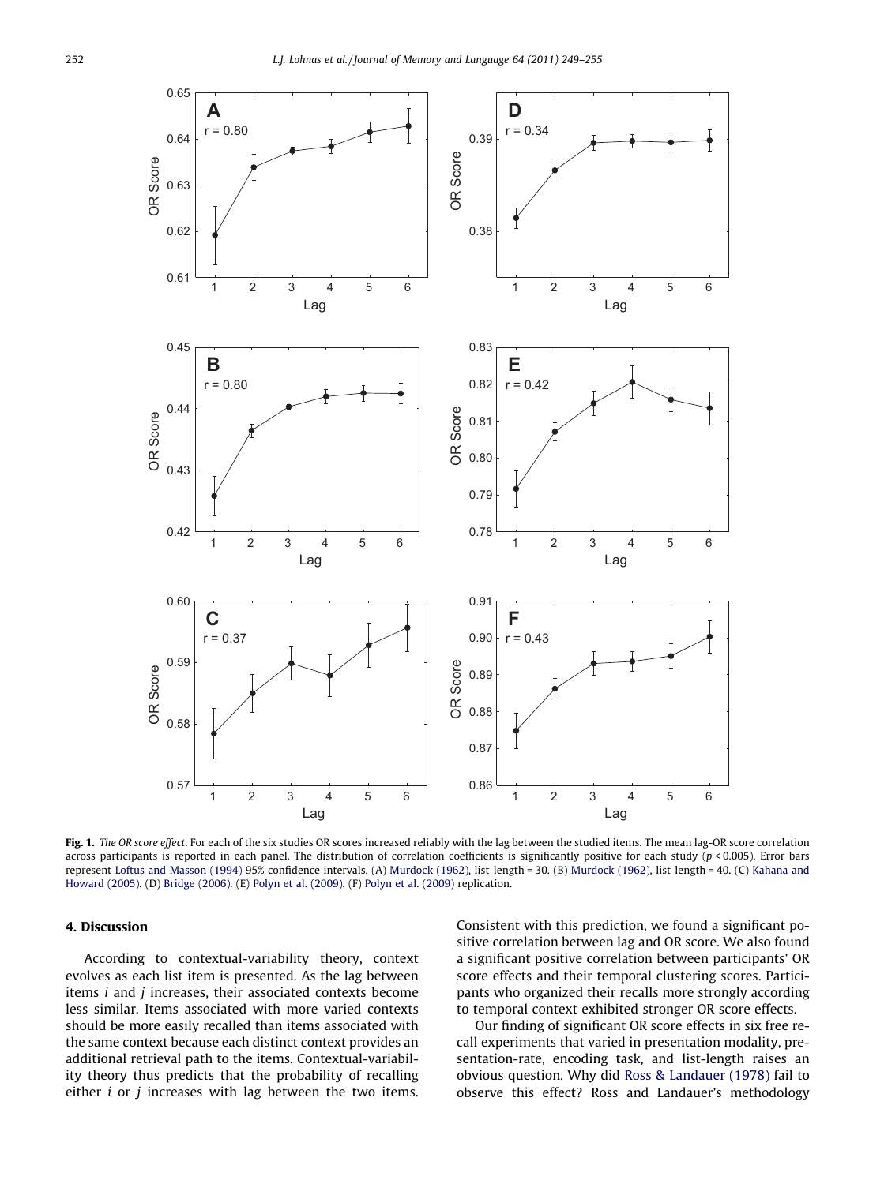<span id="page-3-0"></span>

Fig. 1. The OR score effect. For each of the six studies OR scores increased reliably with the lag between the studied items. The mean lag-OR score correlation across participants is reported in each panel. The distribution of correlation coefficients is significantly positive for each study ( $p$  < 0.005). Error bars represent [Loftus and Masson \(1994\)](#page-5-0) 95% confidence intervals. (A) [Murdock \(1962\),](#page-6-0) list-length = 30. (B) [Murdock \(1962\)](#page-6-0), list-length = 40. (C) [Kahana and](#page-5-0) [Howard \(2005\)](#page-5-0). (D) [Bridge \(2006\)](#page-5-0). (E) [Polyn et al. \(2009\).](#page-6-0) (F) [Polyn et al. \(2009\)](#page-6-0) replication.

#### 4. Discussion

According to contextual-variability theory, context evolves as each list item is presented. As the lag between items  $i$  and  $j$  increases, their associated contexts become less similar. Items associated with more varied contexts should be more easily recalled than items associated with the same context because each distinct context provides an additional retrieval path to the items. Contextual-variability theory thus predicts that the probability of recalling either *i* or *j* increases with lag between the two items.

Consistent with this prediction, we found a significant positive correlation between lag and OR score. We also found a significant positive correlation between participants' OR score effects and their temporal clustering scores. Participants who organized their recalls more strongly according to temporal context exhibited stronger OR score effects.

Our finding of significant OR score effects in six free recall experiments that varied in presentation modality, presentation-rate, encoding task, and list-length raises an obvious question. Why did [Ross & Landauer \(1978\)](#page-6-0) fail to observe this effect? Ross and Landauer's methodology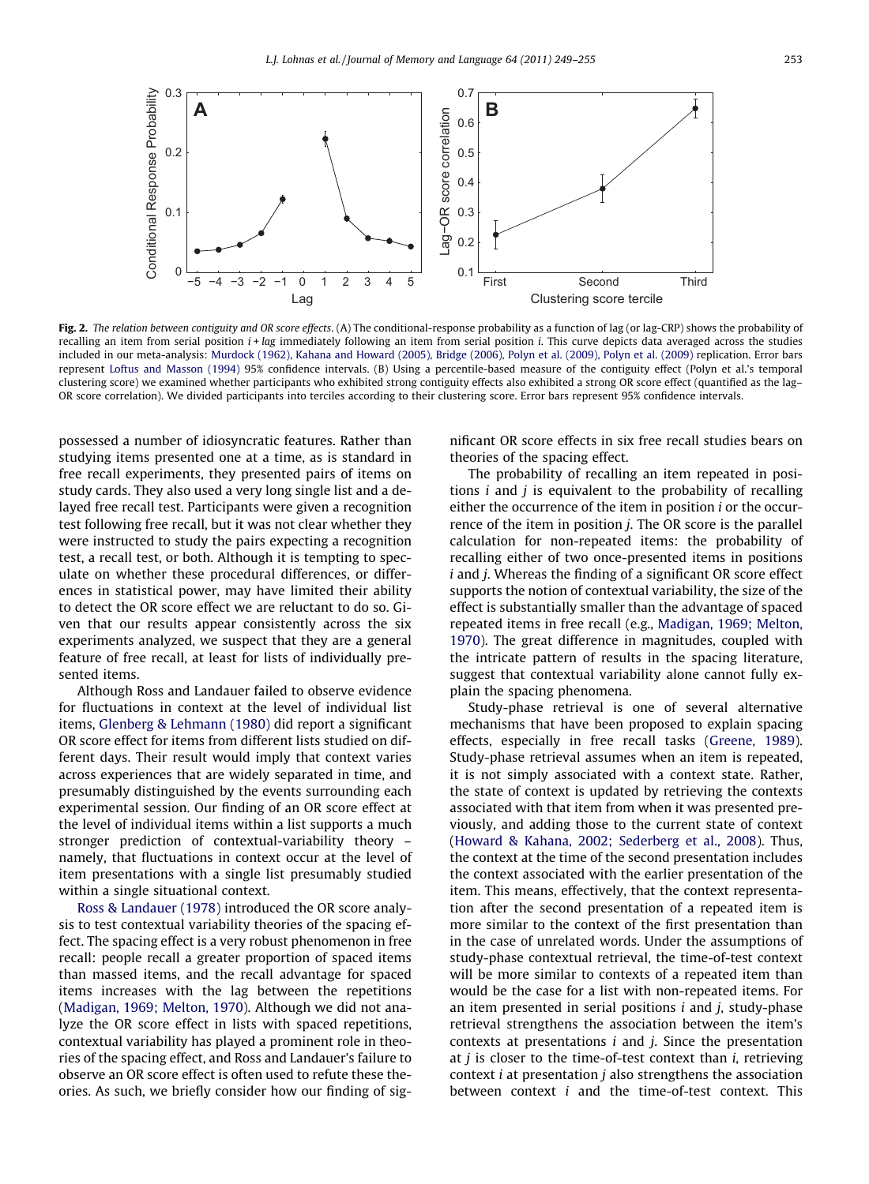<span id="page-4-0"></span>

Fig. 2. The relation between contiguity and OR score effects. (A) The conditional-response probability as a function of lag (or lag-CRP) shows the probability of recalling an item from serial position  $i$  + lag immediately following an item from serial position  $i$ . This curve depicts data averaged across the studies included in our meta-analysis: [Murdock \(1962\), Kahana and Howard \(2005\), Bridge \(2006\), Polyn et al. \(2009\), Polyn et al. \(2009\)](#page-6-0) replication. Error bars represent [Loftus and Masson \(1994\)](#page-5-0) 95% confidence intervals. (B) Using a percentile-based measure of the contiguity effect (Polyn et al.'s temporal clustering score) we examined whether participants who exhibited strong contiguity effects also exhibited a strong OR score effect (quantified as the lag– OR score correlation). We divided participants into terciles according to their clustering score. Error bars represent 95% confidence intervals.

possessed a number of idiosyncratic features. Rather than studying items presented one at a time, as is standard in free recall experiments, they presented pairs of items on study cards. They also used a very long single list and a delayed free recall test. Participants were given a recognition test following free recall, but it was not clear whether they were instructed to study the pairs expecting a recognition test, a recall test, or both. Although it is tempting to speculate on whether these procedural differences, or differences in statistical power, may have limited their ability to detect the OR score effect we are reluctant to do so. Given that our results appear consistently across the six experiments analyzed, we suspect that they are a general feature of free recall, at least for lists of individually presented items.

Although Ross and Landauer failed to observe evidence for fluctuations in context at the level of individual list items, [Glenberg & Lehmann \(1980\)](#page-5-0) did report a significant OR score effect for items from different lists studied on different days. Their result would imply that context varies across experiences that are widely separated in time, and presumably distinguished by the events surrounding each experimental session. Our finding of an OR score effect at the level of individual items within a list supports a much stronger prediction of contextual-variability theory – namely, that fluctuations in context occur at the level of item presentations with a single list presumably studied within a single situational context.

[Ross & Landauer \(1978\)](#page-6-0) introduced the OR score analysis to test contextual variability theories of the spacing effect. The spacing effect is a very robust phenomenon in free recall: people recall a greater proportion of spaced items than massed items, and the recall advantage for spaced items increases with the lag between the repetitions ([Madigan, 1969; Melton, 1970](#page-5-0)). Although we did not analyze the OR score effect in lists with spaced repetitions, contextual variability has played a prominent role in theories of the spacing effect, and Ross and Landauer's failure to observe an OR score effect is often used to refute these theories. As such, we briefly consider how our finding of significant OR score effects in six free recall studies bears on theories of the spacing effect.

The probability of recalling an item repeated in positions  $i$  and  $j$  is equivalent to the probability of recalling either the occurrence of the item in position *i* or the occurrence of the item in position j. The OR score is the parallel calculation for non-repeated items: the probability of recalling either of two once-presented items in positions i and j. Whereas the finding of a significant OR score effect supports the notion of contextual variability, the size of the effect is substantially smaller than the advantage of spaced repeated items in free recall (e.g., [Madigan, 1969; Melton,](#page-5-0) [1970\)](#page-5-0). The great difference in magnitudes, coupled with the intricate pattern of results in the spacing literature, suggest that contextual variability alone cannot fully explain the spacing phenomena.

Study-phase retrieval is one of several alternative mechanisms that have been proposed to explain spacing effects, especially in free recall tasks ([Greene, 1989](#page-5-0)). Study-phase retrieval assumes when an item is repeated, it is not simply associated with a context state. Rather, the state of context is updated by retrieving the contexts associated with that item from when it was presented previously, and adding those to the current state of context [\(Howard & Kahana, 2002; Sederberg et al., 2008](#page-5-0)). Thus, the context at the time of the second presentation includes the context associated with the earlier presentation of the item. This means, effectively, that the context representation after the second presentation of a repeated item is more similar to the context of the first presentation than in the case of unrelated words. Under the assumptions of study-phase contextual retrieval, the time-of-test context will be more similar to contexts of a repeated item than would be the case for a list with non-repeated items. For an item presented in serial positions  $i$  and  $j$ , study-phase retrieval strengthens the association between the item's contexts at presentations  $i$  and  $j$ . Since the presentation at  $i$  is closer to the time-of-test context than  $i$ , retrieving context  $i$  at presentation  $j$  also strengthens the association between context  $i$  and the time-of-test context. This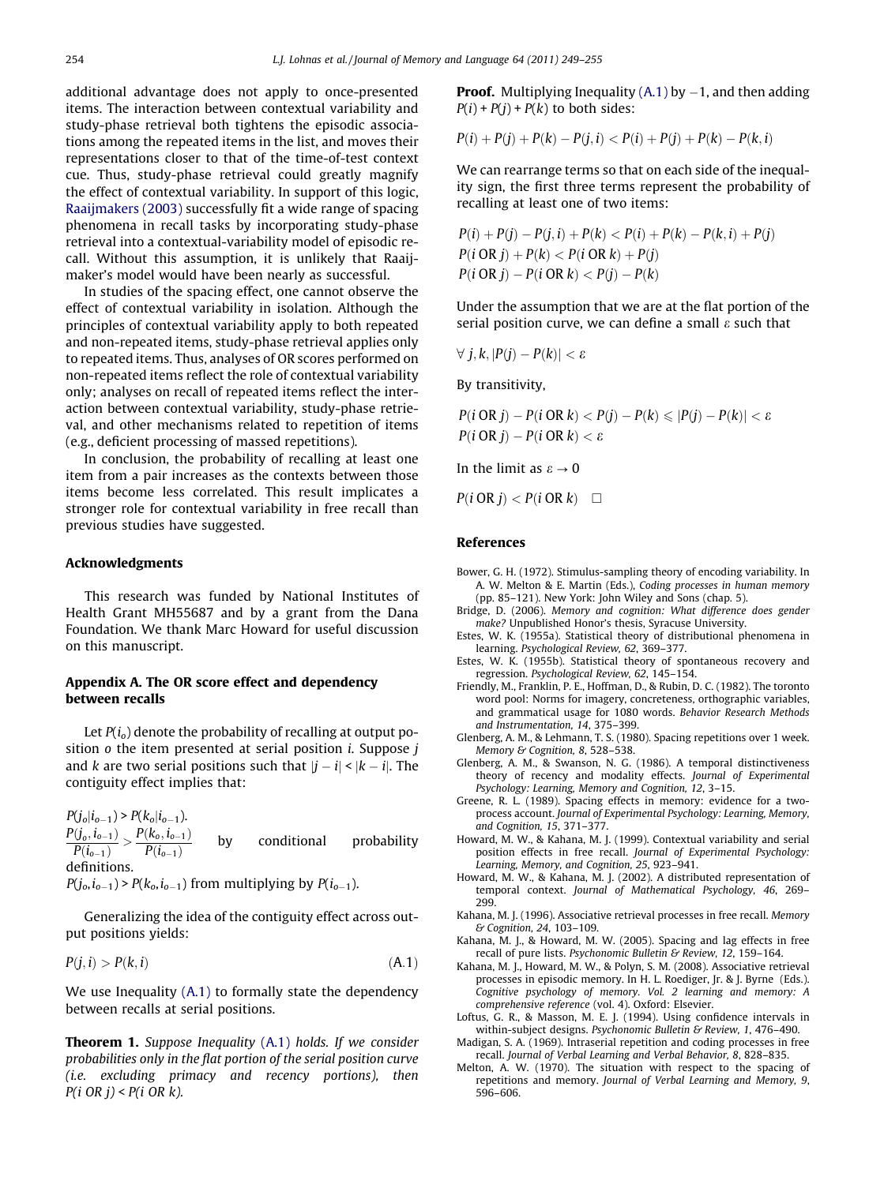<span id="page-5-0"></span>additional advantage does not apply to once-presented items. The interaction between contextual variability and study-phase retrieval both tightens the episodic associations among the repeated items in the list, and moves their representations closer to that of the time-of-test context cue. Thus, study-phase retrieval could greatly magnify the effect of contextual variability. In support of this logic, [Raaijmakers \(2003\)](#page-6-0) successfully fit a wide range of spacing phenomena in recall tasks by incorporating study-phase retrieval into a contextual-variability model of episodic recall. Without this assumption, it is unlikely that Raaijmaker's model would have been nearly as successful.

In studies of the spacing effect, one cannot observe the effect of contextual variability in isolation. Although the principles of contextual variability apply to both repeated and non-repeated items, study-phase retrieval applies only to repeated items. Thus, analyses of OR scores performed on non-repeated items reflect the role of contextual variability only; analyses on recall of repeated items reflect the interaction between contextual variability, study-phase retrieval, and other mechanisms related to repetition of items (e.g., deficient processing of massed repetitions).

In conclusion, the probability of recalling at least one item from a pair increases as the contexts between those items become less correlated. This result implicates a stronger role for contextual variability in free recall than previous studies have suggested.

#### Acknowledgments

This research was funded by National Institutes of Health Grant MH55687 and by a grant from the Dana Foundation. We thank Marc Howard for useful discussion on this manuscript.

# Appendix A. The OR score effect and dependency between recalls

Let  $P(i_0)$  denote the probability of recalling at output position o the item presented at serial position *i*. Suppose *j* and k are two serial positions such that  $|j - i| < |k - i|$ . The contiguity effect implies that:

 $P(j_0|i_{o-1}) > P(k_0|i_{o-1}).$  $P(j_o, i_{o-1})$  $\frac{P(\vec{J}_o, i_{o-1})}{P(i_{o-1})} > \frac{P(k_o, i_{o-1})}{P(i_{o-1})}$  $P(i_{o-}$ by conditional probability definitions.

 $P(j_o, i_{o-1}) > P(k_o, i_{o-1})$  from multiplying by  $P(i_{o-1})$ .

Generalizing the idea of the contiguity effect across output positions yields:

$$
P(j, i) > P(k, i) \tag{A.1}
$$

We use Inequality (A.1) to formally state the dependency between recalls at serial positions.

Theorem 1. Suppose Inequality (A.1) holds. If we consider probabilities only in the flat portion of the serial position curve (i.e. excluding primacy and recency portions), then  $P(i \text{ OR } j)$  <  $P(i \text{ OR } k)$ .

**Proof.** Multiplying Inequality  $(A.1)$  by  $-1$ , and then adding  $P(i) + P(j) + P(k)$  to both sides:

$$
P(i) + P(j) + P(k) - P(j, i) < P(i) + P(j) + P(k) - P(k, i)
$$

We can rearrange terms so that on each side of the inequality sign, the first three terms represent the probability of recalling at least one of two items:

$$
P(i) + P(j) - P(j, i) + P(k) < P(i) + P(k) - P(k, i) + P(j)
$$
\n
$$
P(i \text{ OR } j) + P(k) < P(i \text{ OR } k) + P(j)
$$
\n
$$
P(i \text{ OR } j) - P(i \text{ OR } k) < P(j) - P(k)
$$

Under the assumption that we are at the flat portion of the serial position curve, we can define a small  $\varepsilon$  such that

$$
\forall j, k, |P(j) - P(k)| < \varepsilon
$$

By transitivity,

 $P(i \text{ OR } j) - P(i \text{ OR } k) < P(j) - P(k) \leqslant |P(j) - P(k)| < \varepsilon$  $P(i \text{ OR } j) - P(i \text{ OR } k) < \varepsilon$ 

In the limit as  $\varepsilon \to 0$ 

 $P(i \text{ OR } j) < P(i \text{ OR } k) \quad \Box$ 

# References

- Bower, G. H. (1972). Stimulus-sampling theory of encoding variability. In A. W. Melton & E. Martin (Eds.), Coding processes in human memory (pp. 85–121). New York: John Wiley and Sons (chap. 5).
- Bridge, D. (2006). Memory and cognition: What difference does gender make? Unpublished Honor's thesis, Syracuse University.
- Estes, W. K. (1955a). Statistical theory of distributional phenomena in learning. Psychological Review, 62, 369–377.
- Estes, W. K. (1955b). Statistical theory of spontaneous recovery and regression. Psychological Review, 62, 145–154.
- Friendly, M., Franklin, P. E., Hoffman, D., & Rubin, D. C. (1982). The toronto word pool: Norms for imagery, concreteness, orthographic variables, and grammatical usage for 1080 words. Behavior Research Methods and Instrumentation, 14, 375–399.
- Glenberg, A. M., & Lehmann, T. S. (1980). Spacing repetitions over 1 week. Memory & Cognition, 8, 528–538.
- Glenberg, A. M., & Swanson, N. G. (1986). A temporal distinctiveness theory of recency and modality effects. Journal of Experimental Psychology: Learning, Memory and Cognition, 12, 3–15.
- Greene, R. L. (1989). Spacing effects in memory: evidence for a twoprocess account. Journal of Experimental Psychology: Learning, Memory, and Cognition, 15, 371–377.
- Howard, M. W., & Kahana, M. J. (1999). Contextual variability and serial position effects in free recall. Journal of Experimental Psychology: Learning, Memory, and Cognition, 25, 923–941.
- Howard, M. W., & Kahana, M. J. (2002). A distributed representation of temporal context. Journal of Mathematical Psychology, 46, 269– 299.
- Kahana, M. J. (1996). Associative retrieval processes in free recall. Memory & Cognition, 24, 103–109.
- Kahana, M. J., & Howard, M. W. (2005). Spacing and lag effects in free recall of pure lists. Psychonomic Bulletin & Review, 12, 159–164.
- Kahana, M. J., Howard, M. W., & Polyn, S. M. (2008). Associative retrieval processes in episodic memory. In H. L. Roediger, Jr. & J. Byrne (Eds.). Cognitive psychology of memory. Vol. 2 learning and memory: A comprehensive reference (vol. 4). Oxford: Elsevier.
- Loftus, G. R., & Masson, M. E. J. (1994). Using confidence intervals in within-subject designs. Psychonomic Bulletin & Review, 1, 476–490.
- Madigan, S. A. (1969). Intraserial repetition and coding processes in free recall. Journal of Verbal Learning and Verbal Behavior, 8, 828–835.
- Melton, A. W. (1970). The situation with respect to the spacing of repetitions and memory. Journal of Verbal Learning and Memory, 9, 596–606.